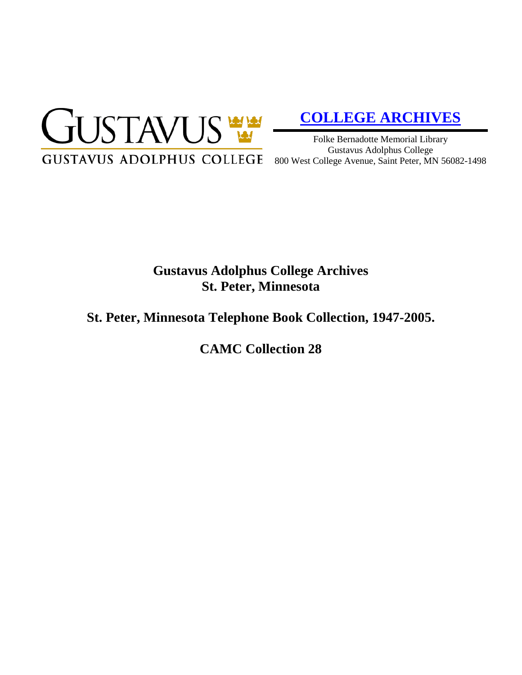

# **[COLLEGE ARCHIVES](http://gustavus.edu/academics/library/archives/)**

Folke Bernadotte Memorial Library Gustavus Adolphus College 800 West College Avenue, Saint Peter, MN 56082-1498

## **Gustavus Adolphus College Archives St. Peter, Minnesota**

### **St. Peter, Minnesota Telephone Book Collection, 1947-2005.**

**CAMC Collection 28**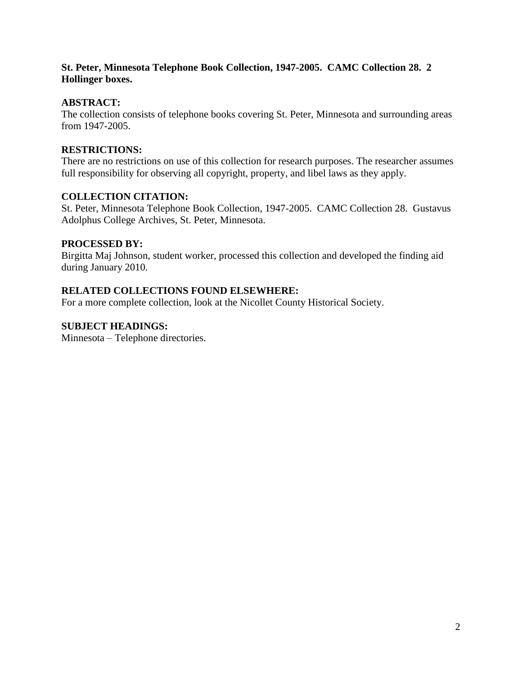#### **St. Peter, Minnesota Telephone Book Collection, 1947-2005. CAMC Collection 28. 2 Hollinger boxes.**

#### **ABSTRACT:**

The collection consists of telephone books covering St. Peter, Minnesota and surrounding areas from 1947-2005.

#### **RESTRICTIONS:**

There are no restrictions on use of this collection for research purposes. The researcher assumes full responsibility for observing all copyright, property, and libel laws as they apply.

#### **COLLECTION CITATION:**

St. Peter, Minnesota Telephone Book Collection, 1947-2005. CAMC Collection 28. Gustavus Adolphus College Archives, St. Peter, Minnesota.

#### **PROCESSED BY:**

Birgitta Maj Johnson, student worker, processed this collection and developed the finding aid during January 2010.

#### **RELATED COLLECTIONS FOUND ELSEWHERE:**

For a more complete collection, look at the Nicollet County Historical Society.

#### **SUBJECT HEADINGS:**

Minnesota – Telephone directories.